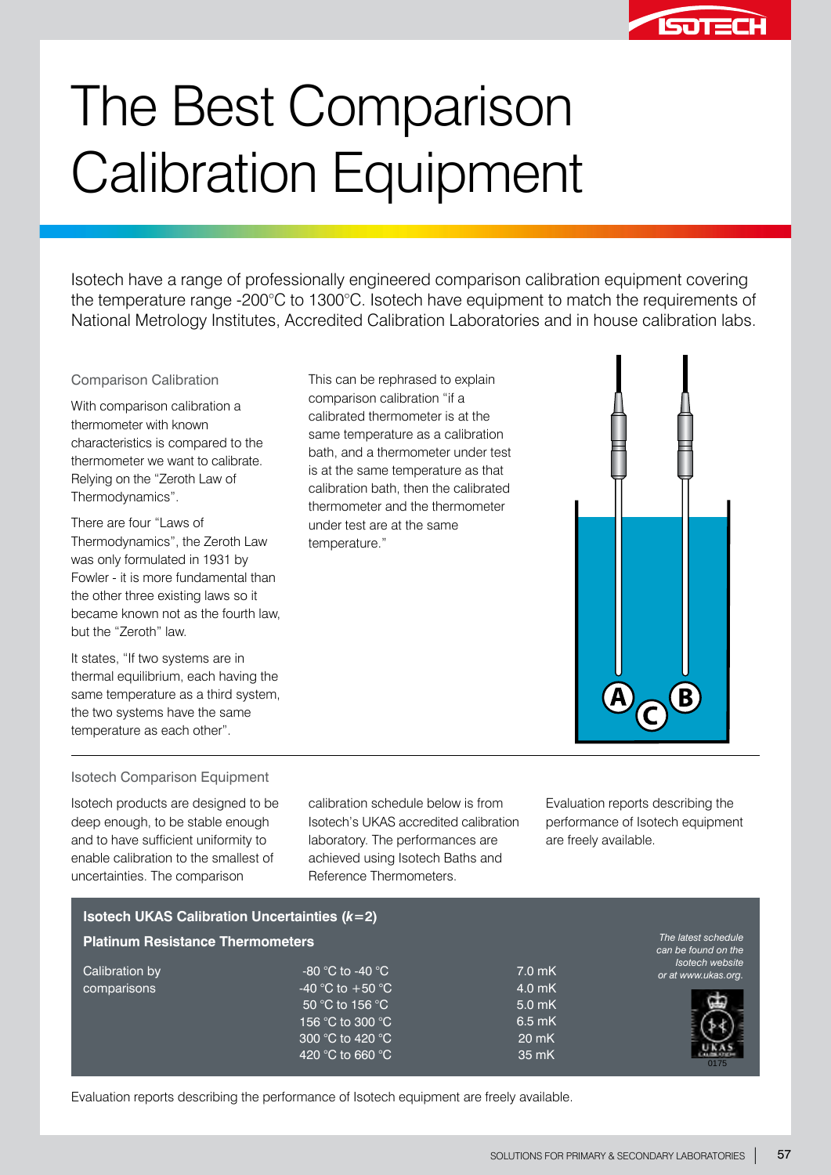

# The Best Comparison Calibration Equipment

Isotech have a range of professionally engineered comparison calibration equipment covering the temperature range -200°C to 1300°C. Isotech have equipment to match the requirements of National Metrology Institutes, Accredited Calibration Laboratories and in house calibration labs.

> This can be rephrased to explain comparison calibration "if a calibrated thermometer is at the same temperature as a calibration bath, and a thermometer under test is at the same temperature as that calibration bath, then the calibrated thermometer and the thermometer

under test are at the same

temperature."

#### Comparison Calibration

With comparison calibration a thermometer with known characteristics is compared to the thermometer we want to calibrate. Relying on the "Zeroth Law of Thermodynamics".

There are four "Laws of Thermodynamics", the Zeroth Law was only formulated in 1931 by Fowler - it is more fundamental than the other three existing laws so it became known not as the fourth law, but the "Zeroth" law.

It states, "If two systems are in thermal equilibrium, each having the same temperature as a third system, the two systems have the same temperature as each other".

#### Isotech Comparison Equipment

Isotech products are designed to be deep enough, to be stable enough and to have sufficient uniformity to enable calibration to the smallest of uncertainties. The comparison

calibration schedule below is from Isotech's UKAS accredited calibration laboratory. The performances are achieved using Isotech Baths and Reference Thermometers.

Evaluation reports describing the performance of Isotech equipment are freely available.

|                                         | <b>Isotech UKAS Calibration Uncertainties (<math>k=2</math>)</b> |          |                                            |
|-----------------------------------------|------------------------------------------------------------------|----------|--------------------------------------------|
| <b>Platinum Resistance Thermometers</b> |                                                                  |          | The latest schedule<br>can be found on the |
| Calibration by<br>comparisons           | -80 °C to -40 °C                                                 | $7.0$ mK | Isotech website<br>or at www.ukas.org.     |
|                                         | -40 °C to +50 °C                                                 | $4.0$ mK |                                            |
|                                         | 50 °C to 156 °C                                                  | $5.0$ mK |                                            |
|                                         | 156 °C to 300 °C                                                 | $6.5$ mK |                                            |
|                                         | ,300 °C to 420 °C <sup>'</sup>                                   | 20 mK    |                                            |
|                                         | 420 °C to 660 °C                                                 | 35 mK    | 0175                                       |



Evaluation reports describing the performance of Isotech equipment are freely available.

 $\ddot{\bm{\theta}}_{\bm{\odot}}$